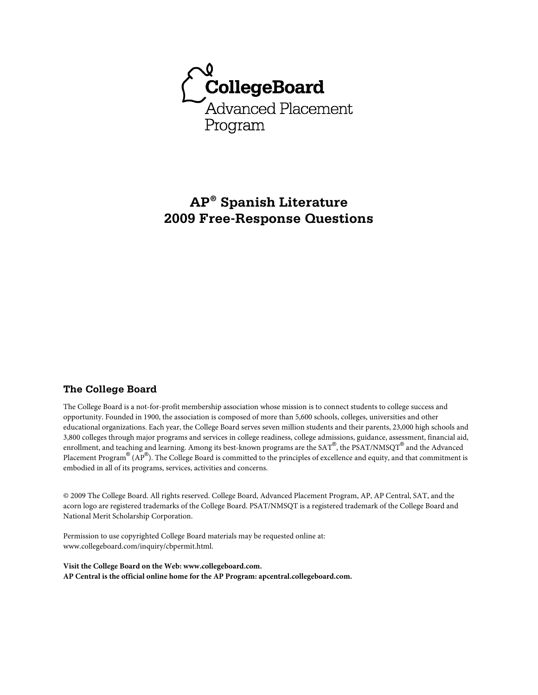

# **AP® Spanish Literature 2009 Free-Response Questions**

# **The College Board**

The College Board is a not-for-profit membership association whose mission is to connect students to college success and opportunity. Founded in 1900, the association is composed of more than 5,600 schools, colleges, universities and other educational organizations. Each year, the College Board serves seven million students and their parents, 23,000 high schools and 3,800 colleges through major programs and services in college readiness, college admissions, guidance, assessment, financial aid, enrollment, and teaching and learning. Among its best-known programs are the SAT®, the PSAT/NMSQT® and the Advanced Placement Program® (AP®). The College Board is committed to the principles of excellence and equity, and that commitment is embodied in all of its programs, services, activities and concerns.

© 2009 The College Board. All rights reserved. College Board, Advanced Placement Program, AP, AP Central, SAT, and the acorn logo are registered trademarks of the College Board. PSAT/NMSQT is a registered trademark of the College Board and National Merit Scholarship Corporation.

Permission to use copyrighted College Board materials may be requested online at: www.collegeboard.com/inquiry/cbpermit.html.

**Visit the College Board on the Web: www.collegeboard.com. AP Central is the official online home for the AP Program: apcentral.collegeboard.com.**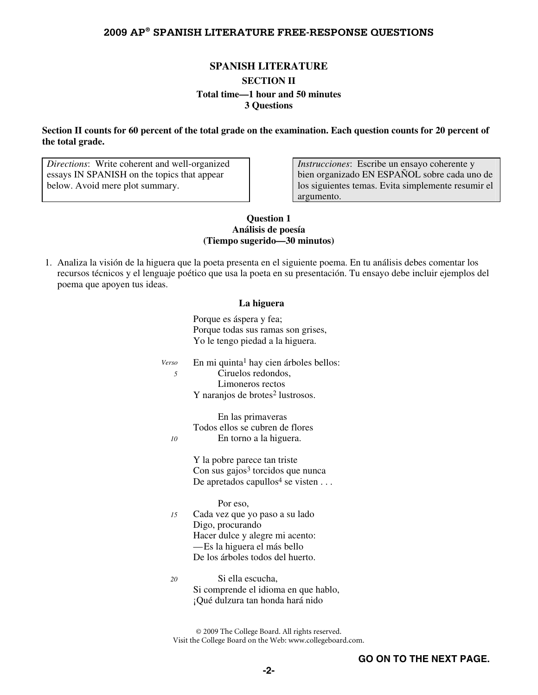### **SPANISH LITERATURE**

### **SECTION II Total time—1 hour and 50 minutes 3 Questions**

### **Section II counts for 60 percent of the total grade on the examination. Each question counts for 20 percent of the total grade.**

*Directions*: Write coherent and well-organized essays IN SPANISH on the topics that appear below. Avoid mere plot summary.

*Instrucciones*: Escribe un ensayo coherente y bien organizado EN ESPAÑOL sobre cada uno de los siguientes temas. Evita simplemente resumir el argumento.

### **Question 1 Análisis de poesía (Tiempo sugerido—30 minutos)**

 1. Analiza la visión de la higuera que la poeta presenta en el siguiente poema. En tu análisis debes comentar los recursos técnicos y el lenguaje poético que usa la poeta en su presentación. Tu ensayo debe incluir ejemplos del poema que apoyen tus ideas.

#### **La higuera**

Porque es áspera y fea; Porque todas sus ramas son grises, Yo le tengo piedad a la higuera.

En mi quinta<sup>1</sup> hay cien árboles bellos: *5* Ciruelos redondos, Limoneros rectos Y naranjos de brotes<sup>2</sup> lustrosos. *Verso*

 En las primaveras Todos ellos se cubren de flores *10* En torno a la higuera.

> Y la pobre parece tan triste  $Con$  sus gajos<sup>3</sup> torcidos que nunca De apretados capullos<sup>4</sup> se visten  $\dots$

> > Por eso,

- *15* Cada vez que yo paso a su lado Digo, procurando Hacer dulce y alegre mi acento: —Es la higuera el más bello De los árboles todos del huerto.
- *20* Si ella escucha, Si comprende el idioma en que hablo, ¡Qué dulzura tan honda hará nido

© 2009 The College Board. All rights reserved. Visit the College Board on the Web: www.collegeboard.com.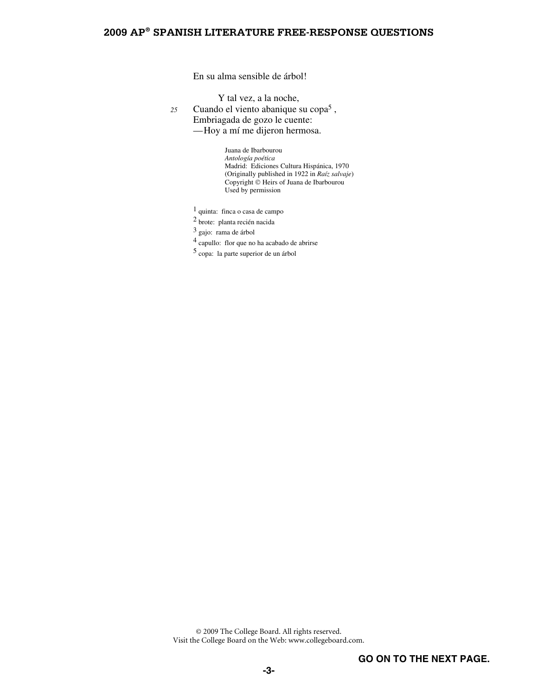En su alma sensible de árbol!

Y tal vez, a la noche,

Cuando el viento abanique su copa5 *<sup>25</sup>*,

Embriagada de gozo le cuente:

—Hoy a mí me dijeron hermosa.

 Juana de Ibarbourou  *Antología poética* Madrid: Ediciones Cultura Hispánica, 1970 (Originally published in 1922 in *Raíz salvaje*) Copyright © Heirs of Juana de Ibarbourou Used by permission

1 quinta: finca o casa de campo

2 brote: planta recién nacida

3 gajo: rama de árbol

4 capullo: flor que no ha acabado de abrirse

 $^5$ copa: la parte superior de un árbol

© 2009 The College Board. All rights reserved. Visit the College Board on the Web: www.collegeboard.com.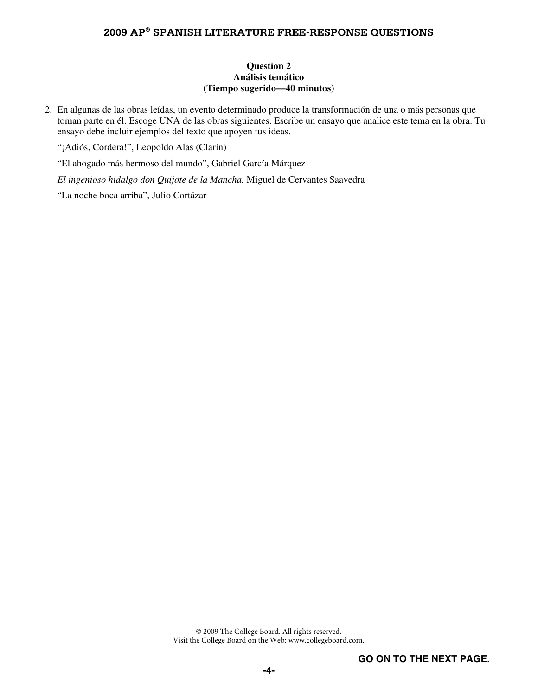### **Question 2 Análisis temático (Tiempo sugerido—40 minutos)**

 2. En algunas de las obras leídas, un evento determinado produce la transformación de una o más personas que toman parte en él. Escoge UNA de las obras siguientes. Escribe un ensayo que analice este tema en la obra. Tu ensayo debe incluir ejemplos del texto que apoyen tus ideas.

"¡Adiós, Cordera!", Leopoldo Alas (Clarín)

"El ahogado más hermoso del mundo", Gabriel García Márquez

*El ingenioso hidalgo don Quijote de la Mancha,* Miguel de Cervantes Saavedra

"La noche boca arriba", Julio Cortázar

© 2009 The College Board. All rights reserved. Visit the College Board on the Web: www.collegeboard.com.